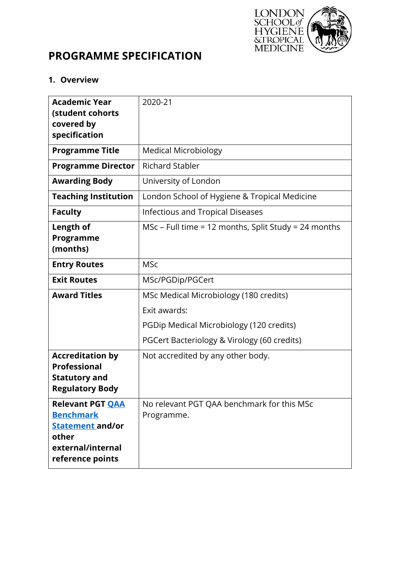

# **PROGRAMME SPECIFICATION**

## **1. Overview**

| <b>Academic Year</b><br>(student cohorts<br>covered by                                                                   | 2020-21                                                  |  |  |  |
|--------------------------------------------------------------------------------------------------------------------------|----------------------------------------------------------|--|--|--|
| specification                                                                                                            |                                                          |  |  |  |
| <b>Programme Title</b>                                                                                                   | <b>Medical Microbiology</b>                              |  |  |  |
| <b>Programme Director</b>                                                                                                | <b>Richard Stabler</b>                                   |  |  |  |
| <b>Awarding Body</b>                                                                                                     | University of London                                     |  |  |  |
| <b>Teaching Institution</b>                                                                                              | London School of Hygiene & Tropical Medicine             |  |  |  |
| <b>Faculty</b>                                                                                                           | <b>Infectious and Tropical Diseases</b>                  |  |  |  |
| Length of<br>Programme<br>(months)                                                                                       | MSc – Full time = 12 months, Split Study = 24 months     |  |  |  |
| <b>Entry Routes</b>                                                                                                      | <b>MSc</b>                                               |  |  |  |
| <b>Exit Routes</b>                                                                                                       | MSc/PGDip/PGCert                                         |  |  |  |
| <b>Award Titles</b>                                                                                                      | MSc Medical Microbiology (180 credits)                   |  |  |  |
|                                                                                                                          | Exit awards:                                             |  |  |  |
|                                                                                                                          | PGDip Medical Microbiology (120 credits)                 |  |  |  |
|                                                                                                                          | PGCert Bacteriology & Virology (60 credits)              |  |  |  |
| <b>Accreditation by</b><br><b>Professional</b><br><b>Statutory and</b><br><b>Regulatory Body</b>                         | Not accredited by any other body.                        |  |  |  |
| <b>Relevant PGT QAA</b><br><b>Benchmark</b><br><b>Statement</b> and/or<br>other<br>external/internal<br>reference points | No relevant PGT QAA benchmark for this MSc<br>Programme. |  |  |  |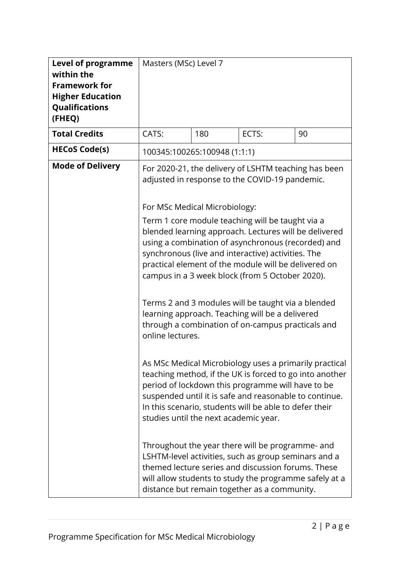| <b>Level of programme</b><br>within the<br><b>Framework for</b><br><b>Higher Education</b><br>Qualifications<br>(FHEQ) | Masters (MSc) Level 7                                                                      |                              |                                                                                                                                                                                                                                                                                                                                                                                                                                                                                                                                                                                                                                                                                                                                                                                                                                                                                                                                                                                                                                                                                                                                                                                    |    |
|------------------------------------------------------------------------------------------------------------------------|--------------------------------------------------------------------------------------------|------------------------------|------------------------------------------------------------------------------------------------------------------------------------------------------------------------------------------------------------------------------------------------------------------------------------------------------------------------------------------------------------------------------------------------------------------------------------------------------------------------------------------------------------------------------------------------------------------------------------------------------------------------------------------------------------------------------------------------------------------------------------------------------------------------------------------------------------------------------------------------------------------------------------------------------------------------------------------------------------------------------------------------------------------------------------------------------------------------------------------------------------------------------------------------------------------------------------|----|
| <b>Total Credits</b>                                                                                                   | CATS:                                                                                      | 180                          | ECTS:                                                                                                                                                                                                                                                                                                                                                                                                                                                                                                                                                                                                                                                                                                                                                                                                                                                                                                                                                                                                                                                                                                                                                                              | 90 |
| <b>HECoS Code(s)</b>                                                                                                   |                                                                                            | 100345:100265:100948 (1:1:1) |                                                                                                                                                                                                                                                                                                                                                                                                                                                                                                                                                                                                                                                                                                                                                                                                                                                                                                                                                                                                                                                                                                                                                                                    |    |
| <b>Mode of Delivery</b>                                                                                                | For MSc Medical Microbiology:<br>online lectures.<br>studies until the next academic year. |                              | For 2020-21, the delivery of LSHTM teaching has been<br>adjusted in response to the COVID-19 pandemic.<br>Term 1 core module teaching will be taught via a<br>blended learning approach. Lectures will be delivered<br>using a combination of asynchronous (recorded) and<br>synchronous (live and interactive) activities. The<br>practical element of the module will be delivered on<br>campus in a 3 week block (from 5 October 2020).<br>Terms 2 and 3 modules will be taught via a blended<br>learning approach. Teaching will be a delivered<br>through a combination of on-campus practicals and<br>As MSc Medical Microbiology uses a primarily practical<br>teaching method, if the UK is forced to go into another<br>period of lockdown this programme will have to be<br>suspended until it is safe and reasonable to continue.<br>In this scenario, students will be able to defer their<br>Throughout the year there will be programme- and<br>LSHTM-level activities, such as group seminars and a<br>themed lecture series and discussion forums. These<br>will allow students to study the programme safely at a<br>distance but remain together as a community. |    |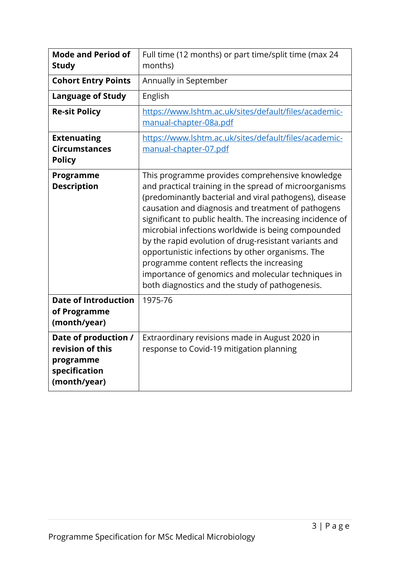| <b>Mode and Period of</b><br><b>Study</b>                                              | Full time (12 months) or part time/split time (max 24<br>months)                                                                                                                                                                                                                                                                                                                                                                                                                                                                                                                                                |  |  |  |
|----------------------------------------------------------------------------------------|-----------------------------------------------------------------------------------------------------------------------------------------------------------------------------------------------------------------------------------------------------------------------------------------------------------------------------------------------------------------------------------------------------------------------------------------------------------------------------------------------------------------------------------------------------------------------------------------------------------------|--|--|--|
| <b>Cohort Entry Points</b>                                                             | Annually in September                                                                                                                                                                                                                                                                                                                                                                                                                                                                                                                                                                                           |  |  |  |
| <b>Language of Study</b>                                                               | English                                                                                                                                                                                                                                                                                                                                                                                                                                                                                                                                                                                                         |  |  |  |
| <b>Re-sit Policy</b>                                                                   | https://www.lshtm.ac.uk/sites/default/files/academic-<br>manual-chapter-08a.pdf                                                                                                                                                                                                                                                                                                                                                                                                                                                                                                                                 |  |  |  |
| <b>Extenuating</b><br><b>Circumstances</b><br><b>Policy</b>                            | https://www.lshtm.ac.uk/sites/default/files/academic-<br>manual-chapter-07.pdf                                                                                                                                                                                                                                                                                                                                                                                                                                                                                                                                  |  |  |  |
| Programme<br><b>Description</b>                                                        | This programme provides comprehensive knowledge<br>and practical training in the spread of microorganisms<br>(predominantly bacterial and viral pathogens), disease<br>causation and diagnosis and treatment of pathogens<br>significant to public health. The increasing incidence of<br>microbial infections worldwide is being compounded<br>by the rapid evolution of drug-resistant variants and<br>opportunistic infections by other organisms. The<br>programme content reflects the increasing<br>importance of genomics and molecular techniques in<br>both diagnostics and the study of pathogenesis. |  |  |  |
| <b>Date of Introduction</b><br>of Programme<br>(month/year)                            | 1975-76                                                                                                                                                                                                                                                                                                                                                                                                                                                                                                                                                                                                         |  |  |  |
| Date of production /<br>revision of this<br>programme<br>specification<br>(month/year) | Extraordinary revisions made in August 2020 in<br>response to Covid-19 mitigation planning                                                                                                                                                                                                                                                                                                                                                                                                                                                                                                                      |  |  |  |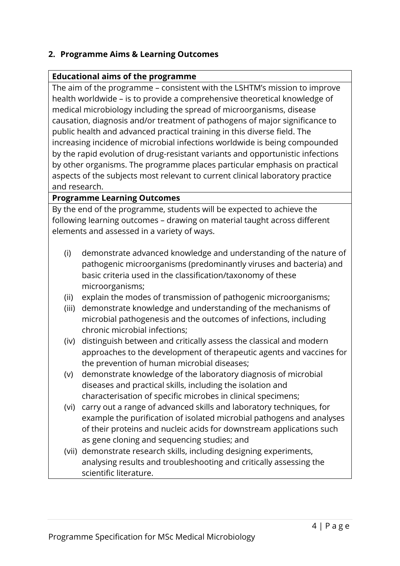## **2. Programme Aims & Learning Outcomes**

#### **Educational aims of the programme**

The aim of the programme – consistent with the LSHTM's mission to improve health worldwide – is to provide a comprehensive theoretical knowledge of medical microbiology including the spread of microorganisms, disease causation, diagnosis and/or treatment of pathogens of major significance to public health and advanced practical training in this diverse field. The increasing incidence of microbial infections worldwide is being compounded by the rapid evolution of drug-resistant variants and opportunistic infections by other organisms. The programme places particular emphasis on practical aspects of the subjects most relevant to current clinical laboratory practice and research.

#### **Programme Learning Outcomes**

By the end of the programme, students will be expected to achieve the following learning outcomes – drawing on material taught across different elements and assessed in a variety of ways.

- (i) demonstrate advanced knowledge and understanding of the nature of pathogenic microorganisms (predominantly viruses and bacteria) and basic criteria used in the classification/taxonomy of these microorganisms;
- (ii) explain the modes of transmission of pathogenic microorganisms;
- (iii) demonstrate knowledge and understanding of the mechanisms of microbial pathogenesis and the outcomes of infections, including chronic microbial infections;
- (iv) distinguish between and critically assess the classical and modern approaches to the development of therapeutic agents and vaccines for the prevention of human microbial diseases;
- (v) demonstrate knowledge of the laboratory diagnosis of microbial diseases and practical skills, including the isolation and characterisation of specific microbes in clinical specimens;
- (vi) carry out a range of advanced skills and laboratory techniques, for example the purification of isolated microbial pathogens and analyses of their proteins and nucleic acids for downstream applications such as gene cloning and sequencing studies; and
- (vii) demonstrate research skills, including designing experiments, analysing results and troubleshooting and critically assessing the scientific literature.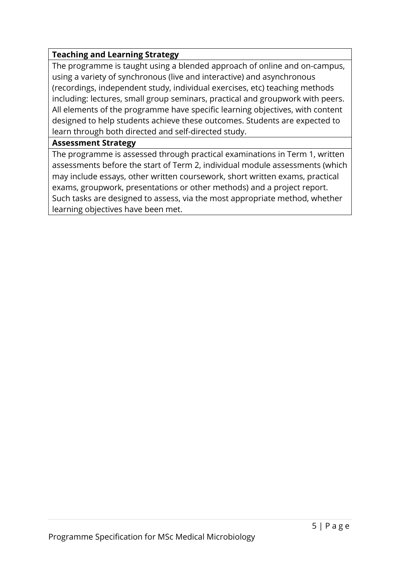## **Teaching and Learning Strategy**

The programme is taught using a blended approach of online and on-campus, using a variety of synchronous (live and interactive) and asynchronous (recordings, independent study, individual exercises, etc) teaching methods including: lectures, small group seminars, practical and groupwork with peers. All elements of the programme have specific learning objectives, with content designed to help students achieve these outcomes. Students are expected to learn through both directed and self-directed study.

#### **Assessment Strategy**

The programme is assessed through practical examinations in Term 1, written assessments before the start of Term 2, individual module assessments (which may include essays, other written coursework, short written exams, practical exams, groupwork, presentations or other methods) and a project report. Such tasks are designed to assess, via the most appropriate method, whether learning objectives have been met.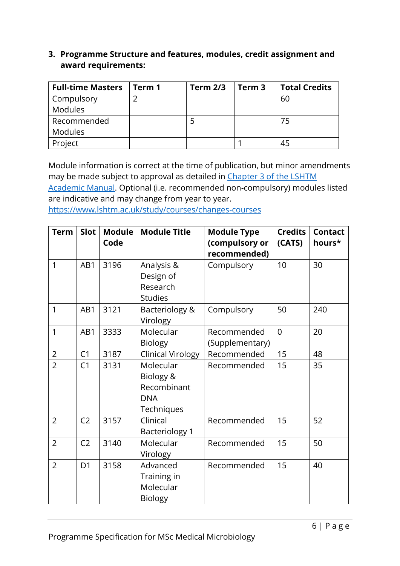### **3. Programme Structure and features, modules, credit assignment and award requirements:**

| <b>Full-time Masters</b> | Term 1 | <b>Term 2/3</b> | Term <sub>3</sub> | <b>Total Credits</b> |
|--------------------------|--------|-----------------|-------------------|----------------------|
| <b>Compulsory</b>        |        |                 |                   | 60                   |
| Modules                  |        |                 |                   |                      |
| Recommended              |        |                 |                   | 75                   |
| <b>Modules</b>           |        |                 |                   |                      |
| Project                  |        |                 |                   | 45                   |

Module information is correct at the time of publication, but minor amendments may be made subject to approval as detailed in Chapter 3 of the LSHTM

[Academic Manual.](https://www.lshtm.ac.uk/sites/default/files/academic-manual-chapter-03.pdf) Optional (i.e. recommended non-compulsory) modules listed are indicative and may change from year to year.

<https://www.lshtm.ac.uk/study/courses/changes-courses>

| <b>Term</b>    | Slot           | <b>Module</b><br>Code | <b>Module Title</b>                                               | <b>Module Type</b><br>(compulsory or<br>recommended) | <b>Credits</b><br>(CATS) | <b>Contact</b><br>hours* |
|----------------|----------------|-----------------------|-------------------------------------------------------------------|------------------------------------------------------|--------------------------|--------------------------|
| $\mathbf{1}$   | AB1            | 3196                  | Analysis &<br>Design of<br>Research<br><b>Studies</b>             | Compulsory                                           | 10                       | 30                       |
| 1              | AB1            | 3121                  | Bacteriology &<br>Virology                                        | Compulsory                                           | 50                       | 240                      |
| 1              | AB1            | 3333                  | Molecular<br><b>Biology</b>                                       | Recommended<br>(Supplementary)                       | $\overline{0}$           | 20                       |
| $\overline{2}$ | C1             | 3187                  | <b>Clinical Virology</b>                                          | Recommended                                          | 15                       | 48                       |
| $\overline{2}$ | C <sub>1</sub> | 3131                  | Molecular<br>Biology &<br>Recombinant<br><b>DNA</b><br>Techniques | Recommended                                          | 15                       | 35                       |
| $\overline{2}$ | C <sub>2</sub> | 3157                  | Clinical<br><b>Bacteriology 1</b>                                 | Recommended                                          | 15                       | 52                       |
| $\overline{2}$ | C <sub>2</sub> | 3140                  | Molecular<br>Virology                                             | Recommended                                          | 15                       | 50                       |
| $\overline{2}$ | D <sub>1</sub> | 3158                  | Advanced<br>Training in<br>Molecular<br><b>Biology</b>            | Recommended                                          | 15                       | 40                       |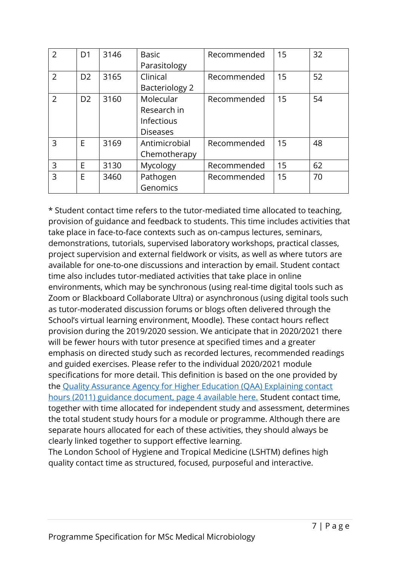| $\overline{2}$ | D <sub>1</sub> | 3146 | <b>Basic</b>      | Recommended | 15 | 32 |
|----------------|----------------|------|-------------------|-------------|----|----|
|                |                |      | Parasitology      |             |    |    |
| $\overline{2}$ | D <sub>2</sub> | 3165 | Clinical          | Recommended | 15 | 52 |
|                |                |      | Bacteriology 2    |             |    |    |
| $\overline{2}$ | D <sub>2</sub> | 3160 | Molecular         | Recommended | 15 | 54 |
|                |                |      | Research in       |             |    |    |
|                |                |      | <b>Infectious</b> |             |    |    |
|                |                |      | <b>Diseases</b>   |             |    |    |
| 3              | E              | 3169 | Antimicrobial     | Recommended | 15 | 48 |
|                |                |      | Chemotherapy      |             |    |    |
| 3              | E              | 3130 | Mycology          | Recommended | 15 | 62 |
| 3              | E              | 3460 | Pathogen          | Recommended | 15 | 70 |
|                |                |      | Genomics          |             |    |    |

\* Student contact time refers to the tutor-mediated time allocated to teaching, provision of guidance and feedback to students. This time includes activities that take place in face-to-face contexts such as on-campus lectures, seminars, demonstrations, tutorials, supervised laboratory workshops, practical classes, project supervision and external fieldwork or visits, as well as where tutors are available for one-to-one discussions and interaction by email. Student contact time also includes tutor-mediated activities that take place in online environments, which may be synchronous (using real-time digital tools such as Zoom or Blackboard Collaborate Ultra) or asynchronous (using digital tools such as tutor-moderated discussion forums or blogs often delivered through the School's virtual learning environment, Moodle). These contact hours reflect provision during the 2019/2020 session. We anticipate that in 2020/2021 there will be fewer hours with tutor presence at specified times and a greater emphasis on directed study such as recorded lectures, recommended readings and guided exercises. Please refer to the individual 2020/2021 module specifications for more detail. This definition is based on the one provided by the Quality [Assurance Agency for Higher Education \(QAA\) Explaining contact](https://www.qaa.ac.uk/docs/qaa/quality-code/contact-hours-guidance.pdf)  [hours \(2011\) guidance document, page 4 available here.](https://www.qaa.ac.uk/docs/qaa/quality-code/contact-hours-guidance.pdf) Student contact time, together with time allocated for independent study and assessment, determines the total student study hours for a module or programme. Although there are separate hours allocated for each of these activities, they should always be clearly linked together to support effective learning.

The London School of Hygiene and Tropical Medicine (LSHTM) defines high quality contact time as structured, focused, purposeful and interactive.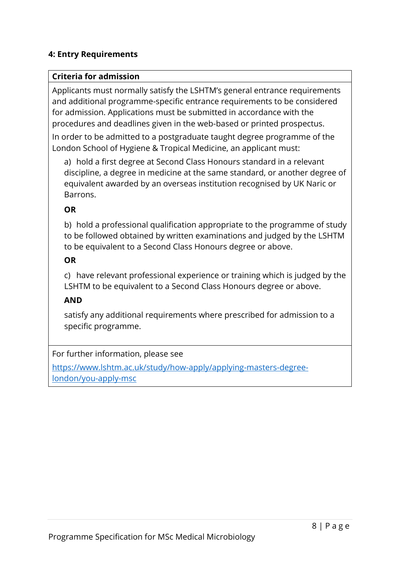## **4: Entry Requirements**

#### **Criteria for admission**

Applicants must normally satisfy the LSHTM's general entrance requirements and additional programme-specific entrance requirements to be considered for admission. Applications must be submitted in accordance with the procedures and deadlines given in the web-based or printed prospectus.

In order to be admitted to a postgraduate taught degree programme of the London School of Hygiene & Tropical Medicine, an applicant must:

a) hold a first degree at Second Class Honours standard in a relevant discipline, a degree in medicine at the same standard, or another degree of equivalent awarded by an overseas institution recognised by UK Naric or Barrons.

#### **OR**

b) hold a professional qualification appropriate to the programme of study to be followed obtained by written examinations and judged by the LSHTM to be equivalent to a Second Class Honours degree or above.

#### **OR**

c) have relevant professional experience or training which is judged by the LSHTM to be equivalent to a Second Class Honours degree or above.

## **AND**

satisfy any additional requirements where prescribed for admission to a specific programme.

For further information, please see

[https://www.lshtm.ac.uk/study/how-apply/applying-masters-degree](https://www.lshtm.ac.uk/study/how-apply/applying-masters-degree-london/you-apply-msc)[london/you-apply-msc](https://www.lshtm.ac.uk/study/how-apply/applying-masters-degree-london/you-apply-msc)